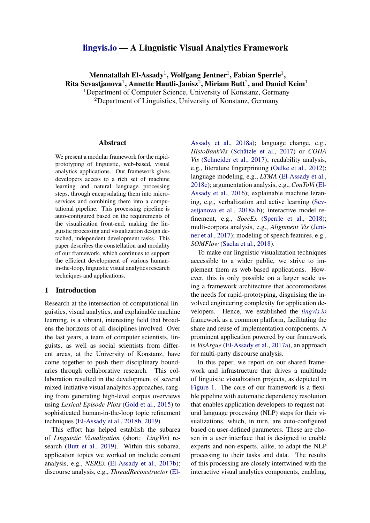# [lingvis.io](https://lingvis.io/) — A Linguistic Visual Analytics Framework

# Mennatallah El-Assady $^1$ , Wolfgang Jentner $^1$ , Fabian Sperrle $^1,$ Rita Sevastjanova $^1$ , Annette Hautli-Janisz $^2$ , Miriam Butt $^2$ , and Daniel Keim $^1$ <sup>1</sup>Department of Computer Science, University of Konstanz, Germany

 ${}^{2}$ Department of Linguistics, University of Konstanz, Germany

#### Abstract

We present a modular framework for the rapidprototyping of linguistic, web-based, visual analytics applications. Our framework gives developers access to a rich set of machine learning and natural language processing steps, through encapsulating them into microservices and combining them into a computational pipeline. This processing pipeline is auto-configured based on the requirements of the visualization front-end, making the linguistic processing and visualization design detached, independent development tasks. This paper describes the constellation and modality of our framework, which continues to support the efficient development of various humanin-the-loop, linguistic visual analytics research techniques and applications.

# 1 Introduction

Research at the intersection of computational linguistics, visual analytics, and explainable machine learning, is a vibrant, interesting field that broadens the horizons of all disciplines involved. Over the last years, a team of computer scientists, linguists, as well as social scientists from different areas, at the University of Konstanz, have come together to push their disciplinary boundaries through collaborative research. This collaboration resulted in the development of several mixed-initiative visual analyitcs approaches, ranging from generating high-level corpus overviews using *Lexical Episode Plots* [\(Gold et al.,](#page-5-0) [2015\)](#page-5-0) to sophisticated human-in-the-loop topic refinement techniques [\(El-Assady et al.,](#page-5-1) [2018b,](#page-5-1) [2019\)](#page-5-2).

This effort has helped establish the subarea of *Linguistic Visualization* (short: *LingVis*) research [\(Butt et al.,](#page-5-3) [2019\)](#page-5-3). Within this subarea, application topics we worked on include content analysis, e.g., *NEREx* [\(El-Assady et al.,](#page-5-4) [2017b\)](#page-5-4); discourse analysis, e.g., *ThreadReconstructor* [\(El-](#page-5-5)

[Assady et al.,](#page-5-5) [2018a\)](#page-5-5); language change, e.g., *HistoBankVis* (Schätzle et al., [2017\)](#page-5-6) or *COHA Vis* [\(Schneider et al.,](#page-5-7) [2017\)](#page-5-7); readability analysis, e.g., literature fingerprinting [\(Oelke et al.,](#page-5-8) [2012\)](#page-5-8); language modeling, e.g., *LTMA* [\(El-Assady et al.,](#page-5-9) [2018c\)](#page-5-9); argumentation analysis, e.g., *ConToVi* [\(El-](#page-5-10)[Assady et al.,](#page-5-10) [2016\)](#page-5-10); explainable machine leraning, e.g., verbalization and active learning [\(Sev](#page-5-11)[astjanova et al.,](#page-5-11) [2018a](#page-5-11)[,b\)](#page-5-12); interactive model refinement, e.g., *SpecEx* [\(Sperrle et al.,](#page-5-13) [2018\)](#page-5-13); multi-corpora analysis, e.g., *Alignment Vis* [\(Jent](#page-5-14)[ner et al.,](#page-5-14) [2017\)](#page-5-14); modeling of speech features, e.g., *SOMFlow* [\(Sacha et al.,](#page-5-15) [2018\)](#page-5-15).

To make our linguistic visualization techniques accessible to a wider public, we strive to implement them as web-based applications. However, this is only possible on a larger scale using a framework architecture that accommodates the needs for rapid-prototyping, disguising the involved engineering complexity for application developers. Hence, we established the *[lingvis.io](http://lingvis.io/)* framework as a common platform, facilitating the share and reuse of implementation components. A prominent application powered by our framework is *VisArgue* [\(El-Assady et al.,](#page-5-16) [2017a\)](#page-5-16), an approach for multi-party discourse analysis.

In this paper, we report on our shared framework and infrastructure that drives a multitude of linguistic visualization projects, as depicted in [Figure 1.](#page-1-0) The core of our framework is a flexible pipeline with automatic dependency resolution that enables application developers to request natural language processing (NLP) steps for their visualizations, which, in turn, are auto-configured based on user-defined parameters. These are chosen in a user interface that is designed to enable experts and non-experts, alike, to adapt the NLP processing to their tasks and data. The results of this processing are closely intertwined with the interactive visual analytics components, enabling,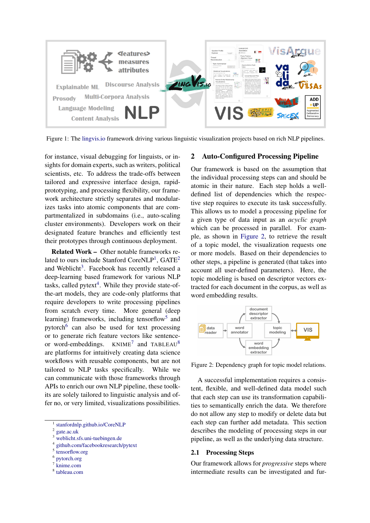<span id="page-1-0"></span>

Figure 1: The [lingvis.io](https://lingvis.io/) framework driving various linguistic visualization projects based on rich NLP pipelines.

for instance, visual debugging for linguists, or insights for domain experts, such as writers, political scientists, etc. To address the trade-offs between tailored and expressive interface design, rapidprototyping, and processing flexibility, our framework architecture strictly separates and modularizes tasks into atomic components that are compartmentalized in subdomains (i.e., auto-scaling cluster environments). Developers work on their designated feature branches and efficiently test their prototypes through continuous deployment.

Related Work – Other notable frameworks re-lated to ours include Stanford CoreNLP<sup>[1](#page-1-1)</sup>, GATE<sup>[2](#page-1-2)</sup> and Weblicht<sup>[3](#page-1-3)</sup>. Facebook has recently released a deep-learning based framework for various NLP tasks, called  $pytext{text}^4$  $pytext{text}^4$ . While they provide state-ofthe-art models, they are code-only platforms that require developers to write processing pipelines from scratch every time. More general (deep learning) frameworks, including tensorflow<sup>[5](#page-1-5)</sup> and pytorch<sup>[6](#page-1-6)</sup> can also be used for text processing or to generate rich feature vectors like sentenceor word-embeddings.  $KNIME^{7}$  $KNIME^{7}$  $KNIME^{7}$  and TABLEAU<sup>[8](#page-1-8)</sup> are platforms for intuitively creating data science workflows with reusable components, but are not tailored to NLP tasks specifically. While we can communicate with those frameworks through APIs to enrich our own NLP pipeline, these toolkits are solely tailored to linguistic analysis and offer no, or very limited, visualizations possibilities.

<span id="page-1-1"></span>1 [stanfordnlp.github.io/CoreNLP](https://stanfordnlp.github.io/CoreNLP/)

<span id="page-1-4"></span>4 [github.com/facebookresearch/pytext](https://github.com/facebookresearch/pytext)

- <span id="page-1-6"></span>6 [pytorch.org](https://pytorch.org/)
- <span id="page-1-7"></span>7 [knime.com](https://www.knime.com/)
- <span id="page-1-8"></span>8 [tableau.com](https://www.tableau.com/)

#### 2 Auto-Configured Processing Pipeline

Our framework is based on the assumption that the individual processing steps can and should be atomic in their nature. Each step holds a welldefined list of dependencies which the respective step requires to execute its task successfully. This allows us to model a processing pipeline for a given type of data input as an *acyclic graph* which can be processed in parallel. For example, as shown in [Figure 2,](#page-1-9) to retrieve the result of a topic model, the visualization requests one or more models. Based on their dependencies to other steps, a pipeline is generated (that takes into account all user-defined parameters). Here, the topic modeling is based on descriptor vectors extracted for each document in the corpus, as well as word embedding results.

<span id="page-1-9"></span>

Figure 2: Dependency graph for topic model relations.

A successful implementation requires a consistent, flexible, and well-defined data model such that each step can use its transformation capabilities to semantically enrich the data. We therefore do not allow any step to modify or delete data but each step can further add metadata. This section describes the modeling of processing steps in our pipeline, as well as the underlying data structure.

## 2.1 Processing Steps

Our framework allows for *progressive* steps where intermediate results can be investigated and fur-

<span id="page-1-2"></span><sup>2</sup> [gate.ac.uk](https://gate.ac.uk/)

<span id="page-1-3"></span><sup>3</sup> [weblicht.sfs.uni-tuebingen.de](https://weblicht.sfs.uni-tuebingen.de/)

<span id="page-1-5"></span><sup>5</sup> [tensorflow.org](https://www.tensorflow.org/)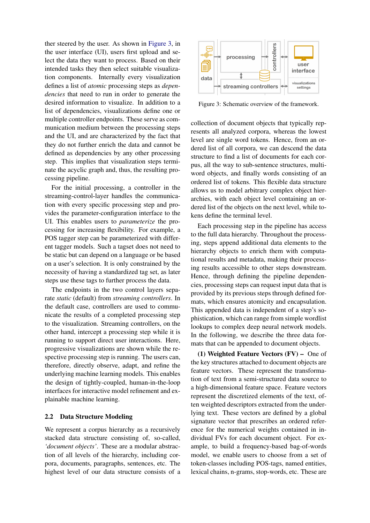ther steered by the user. As shown in [Figure 3,](#page-2-0) in the user interface (UI), users first upload and select the data they want to process. Based on their intended tasks they then select suitable visualization components. Internally every visualization defines a list of *atomic* processing steps as *dependencies* that need to run in order to generate the desired information to visualize. In addition to a list of dependencies, visualizations define one or multiple controller endpoints. These serve as communication medium between the processing steps and the UI, and are characterized by the fact that they do not further enrich the data and cannot be defined as dependencies by any other processing step. This implies that visualization steps terminate the acyclic graph and, thus, the resulting processing pipeline.

For the initial processing, a controller in the streaming-control-layer handles the communication with every specific processing step and provides the parameter-configuration interface to the UI. This enables users to *parameterize* the processing for increasing flexibility. For example, a POS tagger step can be parameterized with different tagger models. Such a tagset does not need to be static but can depend on a language or be based on a user's selection. It is only constrained by the necessity of having a standardized tag set, as later steps use these tags to further process the data.

The endpoints in the two control layers separate *static* (default) from *streaming controllers*. In the default case, controllers are used to communicate the results of a completed processing step to the visualization. Streaming controllers, on the other hand, intercept a processing step while it is running to support direct user interactions. Here, progressive visualizations are shown while the respective processing step is running. The users can, therefore, directly observe, adapt, and refine the underlying machine learning models. This enables the design of tightly-coupled, human-in-the-loop interfaces for interactive model refinement and explainable machine learning.

### 2.2 Data Structure Modeling

We represent a corpus hierarchy as a recursively stacked data structure consisting of, so-called, *'document objects'*. These are a modular abstraction of all levels of the hierarchy, including corpora, documents, paragraphs, sentences, etc. The highest level of our data structure consists of a

<span id="page-2-0"></span>

Figure 3: Schematic overview of the framework.

collection of document objects that typically represents all analyzed corpora, whereas the lowest level are single word tokens. Hence, from an ordered list of all corpora, we can descend the data structure to find a list of documents for each corpus, all the way to sub-sentence structures, multiword objects, and finally words consisting of an ordered list of tokens. This flexible data structure allows us to model arbitrary complex object hierarchies, with each object level containing an ordered list of the objects on the next level, while tokens define the terminal level.

Each processing step in the pipeline has access to the full data hierarchy. Throughout the processing, steps append additional data elements to the hierarchy objects to enrich them with computational results and metadata, making their processing results accessible to other steps downstream. Hence, through defining the pipeline dependencies, processing steps can request input data that is provided by its previous steps through defined formats, which ensures atomicity and encapsulation. This appended data is independent of a step's sophistication, which can range from simple wordlist lookups to complex deep neural network models. In the following, we describe the three data formats that can be appended to document objects.

(1) Weighted Feature Vectors (FV) – One of the key structures attached to document objects are feature vectors. These represent the transformation of text from a semi-structured data source to a high-dimensional feature space. Feature vectors represent the discretized elements of the text, often weighted descriptors extracted from the underlying text. These vectors are defined by a global signature vector that prescribes an ordered reference for the numerical weights contained in individual FVs for each document object. For example, to build a frequency-based bag-of-words model, we enable users to choose from a set of token-classes including POS-tags, named entities, lexical chains, n-grams, stop-words, etc. These are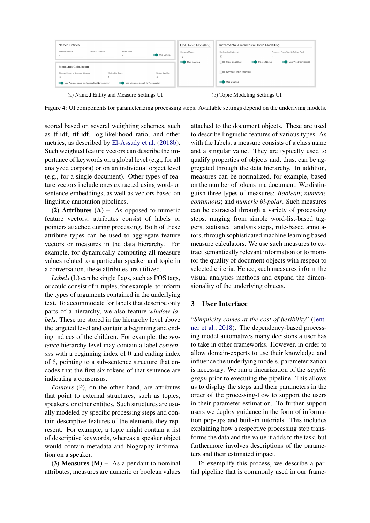<span id="page-3-0"></span>

Figure 4: UI components for parameterizing processing steps. Available settings depend on the underlying models.

scored based on several weighting schemes, such as tf-idf, ttf-idf, log-likelihood ratio, and other metrics, as described by [El-Assady et al.](#page-5-1) [\(2018b\)](#page-5-1). Such weighted feature vectors can describe the importance of keywords on a global level (e.g., for all analyzed corpora) or on an individual object level (e.g., for a single document). Other types of feature vectors include ones extracted using word- or sentence-embeddings, as well as vectors based on linguistic annotation pipelines.

(2) Attributes  $(A)$  – As opposed to numeric feature vectors, attributes consist of labels or pointers attached during processing. Both of these attribute types can be used to aggregate feature vectors or measures in the data hierarchy. For example, for dynamically computing all measure values related to a particular speaker and topic in a conversation, these attributes are utilized.

*Labels* (L) can be single flags, such as POS tags, or could consist of n-tuples, for example, to inform the types of arguments contained in the underlying text. To accommodate for labels that describe only parts of a hierarchy, we also feature *window labels*. These are stored in the hierarchy level above the targeted level and contain a beginning and ending indices of the children. For example, the *sentence* hierarchy level may contain a label *consensus* with a beginning index of 0 and ending index of 6, pointing to a sub-sentence structure that encodes that the first six tokens of that sentence are indicating a consensus.

*Pointers* (P), on the other hand, are attributes that point to external structures, such as topics, speakers, or other entities. Such structures are usually modeled by specific processing steps and contain descriptive features of the elements they represent. For example, a topic might contain a list of descriptive keywords, whereas a speaker object would contain metadata and biography information on a speaker.

(3) Measures  $(M)$  – As a pendant to nominal attributes, measures are numeric or boolean values attached to the document objects. These are used to describe linguistic features of various types. As with the labels, a measure consists of a class name and a singular value. They are typically used to qualify properties of objects and, thus, can be aggregated through the data hierarchy. In addition, measures can be normalized, for example, based on the number of tokens in a document. We distinguish three types of measures: *Boolean*; *numeric continuous*; and *numeric bi-polar*. Such measures can be extracted through a variety of processing steps, ranging from simple word-list-based taggers, statistical analysis steps, rule-based annotators, through sophisticated machine learning based measure calculators. We use such measures to extract semantically relevant information or to monitor the quality of document objects with respect to selected criteria. Hence, such measures inform the visual analytics methods and expand the dimensionality of the underlying objects.

# 3 User Interface

"*Simplicity comes at the cost of flexibility*" [\(Jent](#page-5-17)[ner et al.,](#page-5-17) [2018\)](#page-5-17). The dependency-based processing model automatizes many decisions a user has to take in other frameworks. However, in order to allow domain-experts to use their knowledge and influence the underlying models, parameterization is necessary. We run a linearization of the *acyclic graph* prior to executing the pipeline. This allows us to display the steps and their parameters in the order of the processing-flow to support the users in their parameter estimation. To further support users we deploy guidance in the form of information pop-ups and built-in tutorials. This includes explaining how a respective processing step transforms the data and the value it adds to the task, but furthermore involves descriptions of the parameters and their estimated impact.

To exemplify this process, we describe a partial pipeline that is commonly used in our frame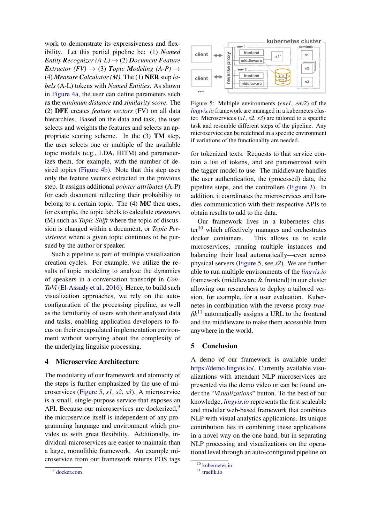work to demonstrate its expressiveness and flexibility. Let this partial pipeline be: (1) *Named Entity Recognizer* (A-*L*)  $\rightarrow$  (2) *Document Feature Extractor* (*FV*)  $\rightarrow$  (3) *Topic Modeling* (*A-P*)  $\rightarrow$ (4) *Measure Calculator (M)*. The (1) NER step *labels* (A-L) tokens with *Named Entities*. As shown in [Figure 4a,](#page-3-0) the user can define parameters such as the *minimum distance* and *similarity score*. The (2) DFE creates *feature vectors* (FV) on all data hierarchies. Based on the data and task, the user selects and weights the features and selects an appropriate scoring scheme. In the (3) TM step, the user selects one or multiple of the available topic models (e.g., LDA, IHTM) and parameterizes them, for example, with the number of desired topics [\(Figure 4b\)](#page-3-0). Note that this step uses only the feature vectors extracted in the previous step. It assigns additional *pointer attributes* (A-P) for each document reflecting their probability to belong to a certain topic. The (4) MC then uses, for example, the topic labels to calculate *measures* (M) such as *Topic Shift* where the topic of discussion is changed within a document, or *Topic Persistence* where a given topic continues to be pursued by the author or speaker.

Such a pipeline is part of multiple visualization creation cycles. For example, we utilize the results of topic modeling to analyze the dynamics of speakers in a conversation transcript in *Con-ToVi* [\(El-Assady et al.,](#page-5-10) [2016\)](#page-5-10). Hence, to build such visualization approaches, we rely on the autoconfiguration of the processing pipeline, as well as the familiarity of users with their analyzed data and tasks, enabling application developers to focus on their encapsulated implementation environment without worrying about the complexity of the underlying linguisic processing.

#### 4 Microservice Architecture

The modularity of our framework and atomicity of the steps is further emphasized by the use of microservices [\(Figure 5,](#page-4-0) *s1*, *s2*, *s3*). A microservice is a small, single-purpose service that exposes an API. Because our microservices are dockerized,<sup>[9](#page-4-1)</sup> the microservice itself is independent of any programming language and environment which provides us with great flexibility. Additionally, individual microservices are easier to maintain than a large, monolithic framework. An example microservice from our framework returns POS tags

<span id="page-4-0"></span>

Figure 5: Multiple environments (*env1*, *env2*) of the *[lingvis.io](http://lingvis.io/)* framework are managed in a kubernetes cluster. Microservices (*s1*, *s2*, *s3*) are tailored to a specific task and resemble different steps of the pipeline. Any microservice can be redefined in a specific environment if variations of the functionality are needed.

for tokenized texts. Requests to that service contain a list of tokens, and are parametrized with the tagger model to use. The middleware handles the user authentication, the (processed) data, the pipeline steps, and the controllers [\(Figure 3\)](#page-2-0). In addition, it coordinates the microservices and handles communication with their respective APIs to obtain results to add to the data.

Our framework lives in a kubernetes clus- $ter<sup>10</sup>$  $ter<sup>10</sup>$  $ter<sup>10</sup>$  which effectively manages and orchestrates docker containers. This allows us to scale microservices, running multiple instances and balancing their load automatically—even across physical servers [\(Figure 5,](#page-4-0) see *s2*). We are further able to run multiple environments of the *[lingvis.io](http://lingvis.io/)* framework (middleware & frontend) in our cluster allowing our researchers to deploy a tailored version, for example, for a user evaluation. Kubernetes in combination with the reverse proxy *trae-* $fik<sup>11</sup>$  $fik<sup>11</sup>$  $fik<sup>11</sup>$  automatically assigns a URL to the frontend and the middleware to make them accessible from anywhere in the world.

#### 5 Conclusion

A demo of our framework is available under [https://demo.lingvis.io/.](https://demo.lingvis.io/) Currently available visualizations with attendant NLP microservices are presented via the demo video or can be found under the "*Visualizations*" button. To the best of our knowledge, *[lingvis.io](http://lingvis.io/)* represents the first scaleable and modular web-based framework that combines NLP with visual analytics applications. Its unique contribution lies in combining these applications in a novel way on the one hand, but in separating NLP processing and visualizations on the operational level through an auto-configured pipeline on

<span id="page-4-1"></span><sup>9</sup> [docker.com](https://www.docker.com/)

<span id="page-4-2"></span> $\overline{10}$  [kubernetes.io](https://kubernetes.io/)

<span id="page-4-3"></span><sup>&</sup>lt;sup>11</sup> [traefik.io](https://traefik.io/)